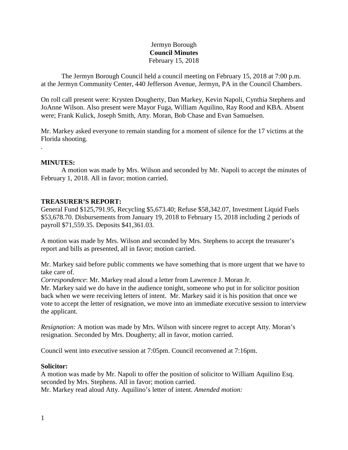# Jermyn Borough **Council Minutes** February 15, 2018

The Jermyn Borough Council held a council meeting on February 15, 2018 at 7:00 p.m. at the Jermyn Community Center, 440 Jefferson Avenue, Jermyn, PA in the Council Chambers.

On roll call present were: Krysten Dougherty, Dan Markey, Kevin Napoli, Cynthia Stephens and JoAnne Wilson. Also present were Mayor Fuga, William Aquilino, Ray Rood and KBA. Absent were; Frank Kulick, Joseph Smith, Atty. Moran, Bob Chase and Evan Samuelsen.

Mr. Markey asked everyone to remain standing for a moment of silence for the 17 victims at the Florida shooting.

### **MINUTES:**

.

A motion was made by Mrs. Wilson and seconded by Mr. Napoli to accept the minutes of February 1, 2018. All in favor; motion carried.

### **TREASURER'S REPORT:**

General Fund \$125,791.95, Recycling \$5,673.40; Refuse \$58,342.07, Investment Liquid Fuels \$53,678.70. Disbursements from January 19, 2018 to February 15, 2018 including 2 periods of payroll \$71,559.35. Deposits \$41,361.03.

A motion was made by Mrs. Wilson and seconded by Mrs. Stephens to accept the treasurer's report and bills as presented, all in favor; motion carried.

Mr. Markey said before public comments we have something that is more urgent that we have to take care of.

*Correspondence*: Mr. Markey read aloud a letter from Lawrence J. Moran Jr.

Mr. Markey said we do have in the audience tonight, someone who put in for solicitor position back when we were receiving letters of intent. Mr. Markey said it is his position that once we vote to accept the letter of resignation, we move into an immediate executive session to interview the applicant.

*Resignation:* A motion was made by Mrs. Wilson with sincere regret to accept Atty. Moran's resignation. Seconded by Mrs. Dougherty; all in favor, motion carried.

Council went into executive session at 7:05pm. Council reconvened at 7:16pm.

#### **Solicitor:**

A motion was made by Mr. Napoli to offer the position of solicitor to William Aquilino Esq. seconded by Mrs. Stephens. All in favor; motion carried. Mr. Markey read aloud Atty. Aquilino's letter of intent. *Amended motion:*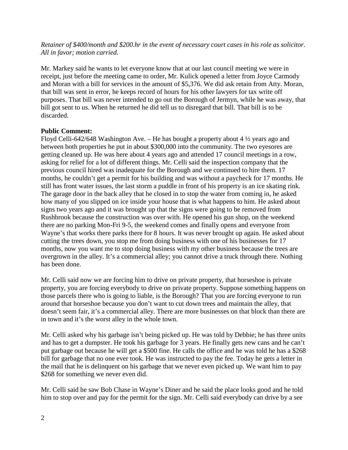*Retainer of \$400/month and \$200.hr in the event of necessary court cases in his role as solicitor. All in favor; motion carried.*

Mr. Markey said he wants to let everyone know that at our last council meeting we were in receipt, just before the meeting came to order, Mr. Kulick opened a letter from Joyce Carmody and Moran with a bill for services in the amount of \$5,376. We did ask retain from Atty. Moran, that bill was sent in error, he keeps record of hours for his other lawyers for tax write off purposes. That bill was never intended to go out the Borough of Jermyn, while he was away, that bill got sent to us. When he returned he did tell us to disregard that bill. That bill is to be discarded.

## **Public Comment:**

Floyd Celli-642/648 Washington Ave. – He has bought a property about 4  $\frac{1}{2}$  years ago and between both properties he put in about \$300,000 into the community. The two eyesores are getting cleaned up. He was here about 4 years ago and attended 17 council meetings in a row, asking for relief for a lot of different things. Mr. Celli said the inspection company that the previous council hired was inadequate for the Borough and we continued to hire them. 17 months, he couldn't get a permit for his building and was without a paycheck for 17 months. He still has front water issues, the last storm a puddle in front of his property is an ice skating rink. The garage door in the back alley that he closed in to stop the water from coming in, he asked how many of you slipped on ice inside your house that is what happens to him. He asked about signs two years ago and it was brought up that the signs were going to be removed from Rushbrook because the construction was over with. He opened his gun shop, on the weekend there are no parking Mon-Fri 9-5, the weekend comes and finally opens and everyone from Wayne's that works there parks there for 8 hours. It was never brought up again. He asked about cutting the trees down, you stop me from doing business with one of his businesses for 17 months, now you want me to stop doing business with my other business because the trees are overgrown in the alley. It's a commercial alley; you cannot drive a truck through there. Nothing has been done.

Mr. Celli said now we are forcing him to drive on private property, that horseshoe is private property, you are forcing everybody to drive on private property. Suppose something happens on those parcels there who is going to liable, is the Borough? That you are forcing everyone to run around that horseshoe because you don't want to cut down trees and maintain the alley, that doesn't seem fair, it's a commercial alley. There are more businesses on that block than there are in town and it's the worst alley in the whole town.

Mr. Celli asked why his garbage isn't being picked up. He was told by Debbie; he has three units and has to get a dumpster. He took his garbage for 3 years. He finally gets new cans and he can't put garbage out because he will get a \$500 fine. He calls the office and he was told he has a \$268 bill for garbage that no one ever took. He was instructed to pay the fee. Today he gets a letter in the mail that he is delinquent on his garbage that we never even picked up. We want him to pay \$268 for something we never even did.

Mr. Celli said he saw Bob Chase in Wayne's Diner and he said the place looks good and he told him to stop over and pay for the permit for the sign. Mr. Celli said everybody can drive by a see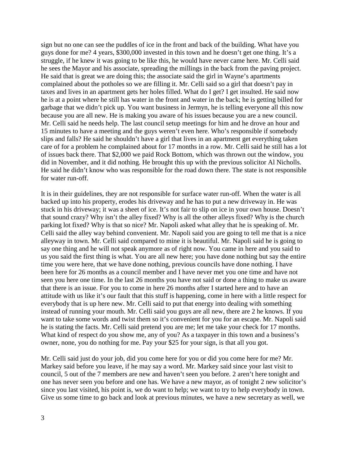sign but no one can see the puddles of ice in the front and back of the building. What have you guys done for me? 4 years, \$300,000 invested in this town and he doesn't get one thing. It's a struggle, if he knew it was going to be like this, he would have never came here. Mr. Celli said he sees the Mayor and his associate, spreading the millings in the back from the paving project. He said that is great we are doing this; the associate said the girl in Wayne's apartments complained about the potholes so we are filling it. Mr. Celli said so a girl that doesn't pay in taxes and lives in an apartment gets her holes filled. What do I get? I get insulted. He said now he is at a point where he still has water in the front and water in the back; he is getting billed for garbage that we didn't pick up. You want business in Jermyn, he is telling everyone all this now because you are all new. He is making you aware of his issues because you are a new council. Mr. Celli said he needs help. The last council setup meetings for him and he drove an hour and 15 minutes to have a meeting and the guys weren't even here. Who's responsible if somebody slips and falls? He said he shouldn't have a girl that lives in an apartment get everything taken care of for a problem he complained about for 17 months in a row. Mr. Celli said he still has a lot of issues back there. That \$2,000 we paid Rock Bottom, which was thrown out the window, you did in November, and it did nothing. He brought this up with the previous solicitor Al Nicholls. He said he didn't know who was responsible for the road down there. The state is not responsible for water run-off.

It is in their guidelines, they are not responsible for surface water run-off. When the water is all backed up into his property, erodes his driveway and he has to put a new driveway in. He was stuck in his driveway; it was a sheet of ice. It's not fair to slip on ice in your own house. Doesn't that sound crazy? Why isn't the alley fixed? Why is all the other alleys fixed? Why is the church parking lot fixed? Why is that so nice? Mr. Napoli asked what alley that he is speaking of. Mr. Celli said the alley way behind convenient. Mr. Napoli said you are going to tell me that is a nice alleyway in town. Mr. Celli said compared to mine it is beautiful. Mr. Napoli said he is going to say one thing and he will not speak anymore as of right now. You came in here and you said to us you said the first thing is what. You are all new here; you have done nothing but say the entire time you were here, that we have done nothing, previous councils have done nothing. I have been here for 26 months as a council member and I have never met you one time and have not seen you here one time. In the last 26 months you have not said or done a thing to make us aware that there is an issue. For you to come in here 26 months after I started here and to have an attitude with us like it's our fault that this stuff is happening, come in here with a little respect for everybody that is up here new. Mr. Celli said to put that energy into dealing with something instead of running your mouth. Mr. Celli said you guys are all new, there are 2 he knows. If you want to take some words and twist them so it's convenient for you for an escape. Mr. Napoli said he is stating the facts. Mr. Celli said pretend you are me; let me take your check for 17 months. What kind of respect do you show me, any of you? As a taxpayer in this town and a business's owner, none, you do nothing for me. Pay your \$25 for your sign, is that all you got.

Mr. Celli said just do your job, did you come here for you or did you come here for me? Mr. Markey said before you leave, if he may say a word. Mr. Markey said since your last visit to council, 5 out of the 7 members are new and haven't seen you before. 2 aren't here tonight and one has never seen you before and one has. We have a new mayor, as of tonight 2 new solicitor's since you last visited, his point is, we do want to help; we want to try to help everybody in town. Give us some time to go back and look at previous minutes, we have a new secretary as well, we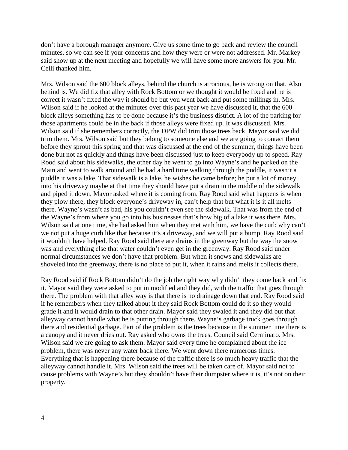don't have a borough manager anymore. Give us some time to go back and review the council minutes, so we can see if your concerns and how they were or were not addressed. Mr. Markey said show up at the next meeting and hopefully we will have some more answers for you. Mr. Celli thanked him.

Mrs. Wilson said the 600 block alleys, behind the church is atrocious, he is wrong on that. Also behind is. We did fix that alley with Rock Bottom or we thought it would be fixed and he is correct it wasn't fixed the way it should be but you went back and put some millings in. Mrs. Wilson said if he looked at the minutes over this past year we have discussed it, that the 600 block alleys something has to be done because it's the business district. A lot of the parking for those apartments could be in the back if those alleys were fixed up. It was discussed. Mrs. Wilson said if she remembers correctly, the DPW did trim those trees back. Mayor said we did trim them. Mrs. Wilson said but they belong to someone else and we are going to contact them before they sprout this spring and that was discussed at the end of the summer, things have been done but not as quickly and things have been discussed just to keep everybody up to speed. Ray Rood said about his sidewalks, the other day he went to go into Wayne's and he parked on the Main and went to walk around and he had a hard time walking through the puddle, it wasn't a puddle it was a lake. That sidewalk is a lake, he wishes he came before; he put a lot of money into his driveway maybe at that time they should have put a drain in the middle of the sidewalk and piped it down. Mayor asked where it is coming from. Ray Rood said what happens is when they plow there, they block everyone's driveway in, can't help that but what it is it all melts there. Wayne's wasn't as bad, his you couldn't even see the sidewalk. That was from the end of the Wayne's from where you go into his businesses that's how big of a lake it was there. Mrs. Wilson said at one time, she had asked him when they met with him, we have the curb why can't we not put a huge curb like that because it's a driveway, and we will put a bump. Ray Rood said it wouldn't have helped. Ray Rood said there are drains in the greenway but the way the snow was and everything else that water couldn't even get in the greenway. Ray Rood said under normal circumstances we don't have that problem. But when it snows and sidewalks are shoveled into the greenway, there is no place to put it, when it rains and melts it collects there.

Ray Rood said if Rock Bottom didn't do the job the right way why didn't they come back and fix it. Mayor said they were asked to put in modified and they did, with the traffic that goes through there. The problem with that alley way is that there is no drainage down that end. Ray Rood said if he remembers when they talked about it they said Rock Bottom could do it so they would grade it and it would drain to that other drain. Mayor said they swaled it and they did but that alleyway cannot handle what he is putting through there. Wayne's garbage truck goes through there and residential garbage. Part of the problem is the trees because in the summer time there is a canopy and it never dries out. Ray asked who owns the trees. Council said Cerminaro. Mrs. Wilson said we are going to ask them. Mayor said every time he complained about the ice problem, there was never any water back there. We went down there numerous times. Everything that is happening there because of the traffic there is so much heavy traffic that the alleyway cannot handle it. Mrs. Wilson said the trees will be taken care of. Mayor said not to cause problems with Wayne's but they shouldn't have their dumpster where it is, it's not on their property.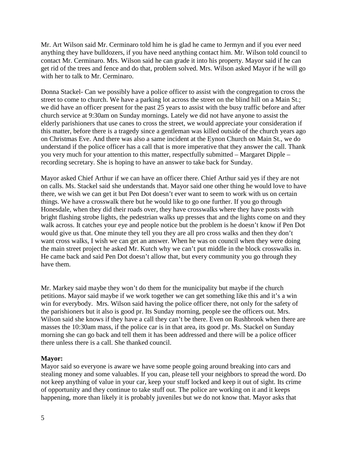Mr. Art Wilson said Mr. Cerminaro told him he is glad he came to Jermyn and if you ever need anything they have bulldozers, if you have need anything contact him. Mr. Wilson told council to contact Mr. Cerminaro. Mrs. Wilson said he can grade it into his property. Mayor said if he can get rid of the trees and fence and do that, problem solved. Mrs. Wilson asked Mayor if he will go with her to talk to Mr. Cerminaro.

Donna Stackel- Can we possibly have a police officer to assist with the congregation to cross the street to come to church. We have a parking lot across the street on the blind hill on a Main St.; we did have an officer present for the past 25 years to assist with the busy traffic before and after church service at 9:30am on Sunday mornings. Lately we did not have anyone to assist the elderly parishioners that use canes to cross the street, we would appreciate your consideration if this matter, before there is a tragedy since a gentleman was killed outside of the church years ago on Christmas Eve. And there was also a same incident at the Eynon Church on Main St., we do understand if the police officer has a call that is more imperative that they answer the call. Thank you very much for your attention to this matter, respectfully submitted – Margaret Dipple – recording secretary. She is hoping to have an answer to take back for Sunday.

Mayor asked Chief Arthur if we can have an officer there. Chief Arthur said yes if they are not on calls. Ms. Stackel said she understands that. Mayor said one other thing he would love to have there, we wish we can get it but Pen Dot doesn't ever want to seem to work with us on certain things. We have a crosswalk there but he would like to go one further. If you go through Honesdale, when they did their roads over, they have crosswalks where they have posts with bright flashing strobe lights, the pedestrian walks up presses that and the lights come on and they walk across. It catches your eye and people notice but the problem is he doesn't know if Pen Dot would give us that. One minute they tell you they are all pro cross walks and then they don't want cross walks, I wish we can get an answer. When he was on council when they were doing the main street project he asked Mr. Kutch why we can't put middle in the block crosswalks in. He came back and said Pen Dot doesn't allow that, but every community you go through they have them.

Mr. Markey said maybe they won't do them for the municipality but maybe if the church petitions. Mayor said maybe if we work together we can get something like this and it's a win win for everybody. Mrs. Wilson said having the police officer there, not only for the safety of the parishioners but it also is good pr. Its Sunday morning, people see the officers out. Mrs. Wilson said she knows if they have a call they can't be there. Even on Rushbrook when there are masses the 10:30am mass, if the police car is in that area, its good pr. Ms. Stackel on Sunday morning she can go back and tell them it has been addressed and there will be a police officer there unless there is a call. She thanked council.

### **Mayor:**

Mayor said so everyone is aware we have some people going around breaking into cars and stealing money and some valuables. If you can, please tell your neighbors to spread the word. Do not keep anything of value in your car, keep your stuff locked and keep it out of sight. Its crime of opportunity and they continue to take stuff out. The police are working on it and it keeps happening, more than likely it is probably juveniles but we do not know that. Mayor asks that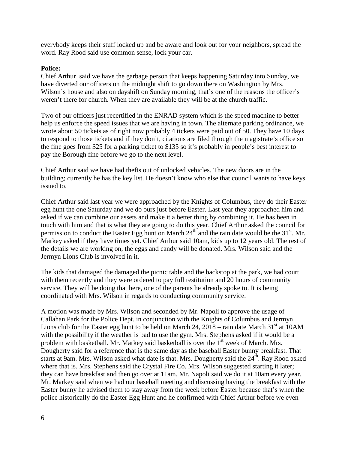everybody keeps their stuff locked up and be aware and look out for your neighbors, spread the word. Ray Rood said use common sense, lock your car.

### **Police:**

Chief Arthur said we have the garbage person that keeps happening Saturday into Sunday, we have diverted our officers on the midnight shift to go down there on Washington by Mrs. Wilson's house and also on dayshift on Sunday morning, that's one of the reasons the officer's weren't there for church. When they are available they will be at the church traffic.

Two of our officers just recertified in the ENRAD system which is the speed machine to better help us enforce the speed issues that we are having in town. The alternate parking ordinance, we wrote about 50 tickets as of right now probably 4 tickets were paid out of 50. They have 10 days to respond to those tickets and if they don't, citations are filed through the magistrate's office so the fine goes from \$25 for a parking ticket to \$135 so it's probably in people's best interest to pay the Borough fine before we go to the next level.

Chief Arthur said we have had thefts out of unlocked vehicles. The new doors are in the building; currently he has the key list. He doesn't know who else that council wants to have keys issued to.

Chief Arthur said last year we were approached by the Knights of Columbus, they do their Easter egg hunt the one Saturday and we do ours just before Easter. Last year they approached him and asked if we can combine our assets and make it a better thing by combining it. He has been in touch with him and that is what they are going to do this year. Chief Arthur asked the council for permission to conduct the Easter Egg hunt on March  $24<sup>th</sup>$  and the rain date would be the 31<sup>st</sup>. Mr. Markey asked if they have times yet. Chief Arthur said 10am, kids up to 12 years old. The rest of the details we are working on, the eggs and candy will be donated. Mrs. Wilson said and the Jermyn Lions Club is involved in it.

The kids that damaged the damaged the picnic table and the backstop at the park, we had court with them recently and they were ordered to pay full restitution and 20 hours of community service. They will be doing that here, one of the parents he already spoke to. It is being coordinated with Mrs. Wilson in regards to conducting community service.

A motion was made by Mrs. Wilson and seconded by Mr. Napoli to approve the usage of Callahan Park for the Police Dept. in conjunction with the Knights of Columbus and Jermyn Lions club for the Easter egg hunt to be held on March 24,  $2018 - \text{rain date March } 31^{\text{st}}$  at 10AM with the possibility if the weather is bad to use the gym. Mrs. Stephens asked if it would be a problem with basketball. Mr. Markey said basketball is over the  $1<sup>st</sup>$  week of March. Mrs. Dougherty said for a reference that is the same day as the baseball Easter bunny breakfast. That starts at 9am. Mrs. Wilson asked what date is that. Mrs. Dougherty said the 24<sup>th</sup>. Ray Rood asked where that is. Mrs. Stephens said the Crystal Fire Co. Mrs. Wilson suggested starting it later; they can have breakfast and then go over at 11am. Mr. Napoli said we do it at 10am every year. Mr. Markey said when we had our baseball meeting and discussing having the breakfast with the Easter bunny he advised them to stay away from the week before Easter because that's when the police historically do the Easter Egg Hunt and he confirmed with Chief Arthur before we even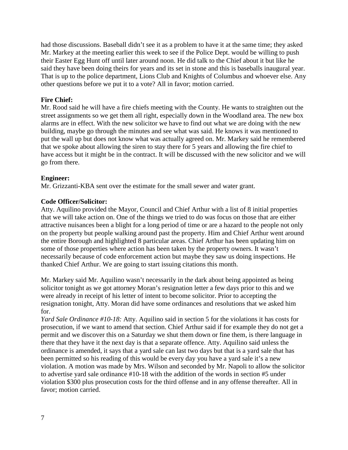had those discussions. Baseball didn't see it as a problem to have it at the same time; they asked Mr. Markey at the meeting earlier this week to see if the Police Dept. would be willing to push their Easter Egg Hunt off until later around noon. He did talk to the Chief about it but like he said they have been doing theirs for years and its set in stone and this is baseballs inaugural year. That is up to the police department, Lions Club and Knights of Columbus and whoever else. Any other questions before we put it to a vote? All in favor; motion carried.

## **Fire Chief:**

Mr. Rood said he will have a fire chiefs meeting with the County. He wants to straighten out the street assignments so we get them all right, especially down in the Woodland area. The new box alarms are in effect. With the new solicitor we have to find out what we are doing with the new building, maybe go through the minutes and see what was said. He knows it was mentioned to put the wall up but does not know what was actually agreed on. Mr. Markey said he remembered that we spoke about allowing the siren to stay there for 5 years and allowing the fire chief to have access but it might be in the contract. It will be discussed with the new solicitor and we will go from there.

## **Engineer:**

Mr. Grizzanti-KBA sent over the estimate for the small sewer and water grant.

## **Code Officer/Solicitor:**

Atty. Aquilino provided the Mayor, Council and Chief Arthur with a list of 8 initial properties that we will take action on. One of the things we tried to do was focus on those that are either attractive nuisances been a blight for a long period of time or are a hazard to the people not only on the property but people walking around past the property. Him and Chief Arthur went around the entire Borough and highlighted 8 particular areas. Chief Arthur has been updating him on some of those properties where action has been taken by the property owners. It wasn't necessarily because of code enforcement action but maybe they saw us doing inspections. He thanked Chief Arthur. We are going to start issuing citations this month.

Mr. Markey said Mr. Aquilino wasn't necessarily in the dark about being appointed as being solicitor tonight as we got attorney Moran's resignation letter a few days prior to this and we were already in receipt of his letter of intent to become solicitor. Prior to accepting the resignation tonight, Atty. Moran did have some ordinances and resolutions that we asked him for.

*Yard Sale Ordinance #10-18:* Atty. Aquilino said in section 5 for the violations it has costs for prosecution, if we want to amend that section. Chief Arthur said if for example they do not get a permit and we discover this on a Saturday we shut them down or fine them, is there language in there that they have it the next day is that a separate offence. Atty. Aquilino said unless the ordinance is amended, it says that a yard sale can last two days but that is a yard sale that has been permitted so his reading of this would be every day you have a yard sale it's a new violation. A motion was made by Mrs. Wilson and seconded by Mr. Napoli to allow the solicitor to advertise yard sale ordinance #10-18 with the addition of the words in section #5 under violation \$300 plus prosecution costs for the third offense and in any offense thereafter. All in favor; motion carried.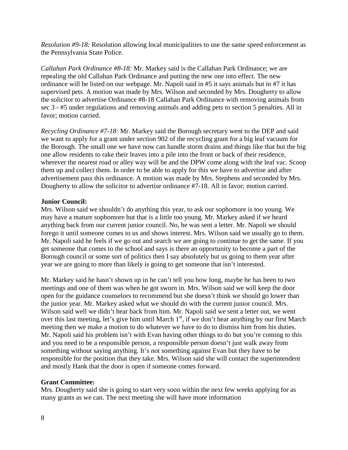*Resolution #9-18:* Resolution allowing local municipalities to use the same speed enforcement as the Pennsylvania State Police.

*Callahan Park Ordinance #8-18:* Mr. Markey said is the Callahan Park Ordinance; we are repealing the old Callahan Park Ordinance and putting the new one into effect. The new ordinance will be listed on our webpage. Mr. Napoli said in #5 it says animals but in #7 it has supervised pets. A motion was made by Mrs. Wilson and seconded by Mrs. Dougherty to allow the solicitor to advertise Ordinance #8-18 Callahan Park Ordinance with removing animals from sec 3 - #5 under regulations and removing animals and adding pets to section 5 penalties. All in favor; motion carried.

*Recycling Ordinance #7-18:* Mr. Markey said the Borough secretary went to the DEP and said we want to apply for a grant under section 902 of the recycling grant for a big leaf vacuum for the Borough. The small one we have now can handle storm drains and things like that but the big one allow residents to rake their leaves into a pile into the front or back of their residence, wherever the nearest road or alley way will be and the DPW come along with the leaf vac. Scoop them up and collect them. In order to be able to apply for this we have to advertise and after advertisement pass this ordinance. A motion was made by Mrs. Stephens and seconded by Mrs. Dougherty to allow the solicitor to advertise ordinance #7-18. All in favor; motion carried.

## **Junior Council:**

Mrs. Wilson said we shouldn't do anything this year, to ask our sophomore is too young. We may have a mature sophomore but that is a little too young. Mr. Markey asked if we heard anything back from our current junior council. No, he was sent a letter. Mr. Napoli we should forego it until someone comes to us and shows interest. Mrs. Wilson said we usually go to them. Mr. Napoli said he feels if we go out and search we are going to continue to get the same. If you get someone that comes to the school and says is there an opportunity to become a part of the Borough council or some sort of politics then I say absolutely but us going to them year after year we are going to more than likely is going to get someone that isn't interested.

Mr. Markey said he hasn't shown up in he can't tell you how long, maybe he has been to two meetings and one of them was when he got sworn in. Mrs. Wilson said we will keep the door open for the guidance counselors to recommend but she doesn't think we should go lower than the junior year. Mr. Markey asked what we should do with the current junior council. Mrs. Wilson said well we didn't hear back from him. Mr. Napoli said we sent a letter out, we went over this last meeting, let's give him until March 1<sup>st</sup>, if we don't hear anything by our first March meeting then we make a motion to do whatever we have to do to dismiss him from his duties. Mr. Napoli said his problem isn't with Evan having other things to do but you're coming to this and you need to be a responsible person, a responsible person doesn't just walk away from something without saying anything. It's not something against Evan but they have to be responsible for the position that they take. Mrs. Wilson said she will contact the superintendent and mostly Hank that the door is open if someone comes forward.

# **Grant Committee:**

Mrs. Dougherty said she is going to start very soon within the next few weeks applying for as many grants as we can. The next meeting she will have more information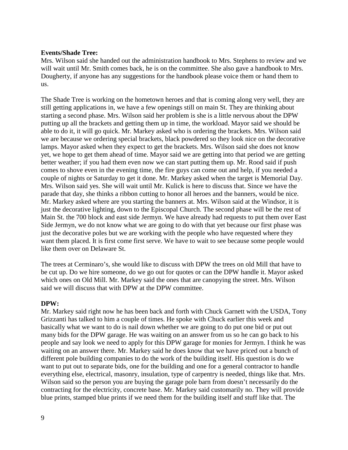### **Events/Shade Tree:**

Mrs. Wilson said she handed out the administration handbook to Mrs. Stephens to review and we will wait until Mr. Smith comes back, he is on the committee. She also gave a handbook to Mrs. Dougherty, if anyone has any suggestions for the handbook please voice them or hand them to us.

The Shade Tree is working on the hometown heroes and that is coming along very well, they are still getting applications in, we have a few openings still on main St. They are thinking about starting a second phase. Mrs. Wilson said her problem is she is a little nervous about the DPW putting up all the brackets and getting them up in time, the workload. Mayor said we should be able to do it, it will go quick. Mr. Markey asked who is ordering the brackets. Mrs. Wilson said we are because we ordering special brackets, black powdered so they look nice on the decorative lamps. Mayor asked when they expect to get the brackets. Mrs. Wilson said she does not know yet, we hope to get them ahead of time. Mayor said we are getting into that period we are getting better weather; if you had them even now we can start putting them up. Mr. Rood said if push comes to shove even in the evening time, the fire guys can come out and help, if you needed a couple of nights or Saturday to get it done. Mr. Markey asked when the target is Memorial Day. Mrs. Wilson said yes. She will wait until Mr. Kulick is here to discuss that. Since we have the parade that day, she thinks a ribbon cutting to honor all heroes and the banners, would be nice. Mr. Markey asked where are you starting the banners at. Mrs. Wilson said at the Windsor, it is just the decorative lighting, down to the Episcopal Church. The second phase will be the rest of Main St. the 700 block and east side Jermyn. We have already had requests to put them over East Side Jermyn, we do not know what we are going to do with that yet because our first phase was just the decorative poles but we are working with the people who have requested where they want them placed. It is first come first serve. We have to wait to see because some people would like them over on Delaware St.

The trees at Cerminaro's, she would like to discuss with DPW the trees on old Mill that have to be cut up. Do we hire someone, do we go out for quotes or can the DPW handle it. Mayor asked which ones on Old Mill. Mr. Markey said the ones that are canopying the street. Mrs. Wilson said we will discuss that with DPW at the DPW committee.

### **DPW:**

Mr. Markey said right now he has been back and forth with Chuck Garnett with the USDA, Tony Grizzanti has talked to him a couple of times. He spoke with Chuck earlier this week and basically what we want to do is nail down whether we are going to do put one bid or put out many bids for the DPW garage. He was waiting on an answer from us so he can go back to his people and say look we need to apply for this DPW garage for monies for Jermyn. I think he was waiting on an answer there. Mr. Markey said he does know that we have priced out a bunch of different pole building companies to do the work of the building itself. His question is do we want to put out to separate bids, one for the building and one for a general contractor to handle everything else, electrical, masonry, insulation, type of carpentry is needed, things like that. Mrs. Wilson said so the person you are buying the garage pole barn from doesn't necessarily do the contracting for the electricity, concrete base. Mr. Markey said customarily no. They will provide blue prints, stamped blue prints if we need them for the building itself and stuff like that. The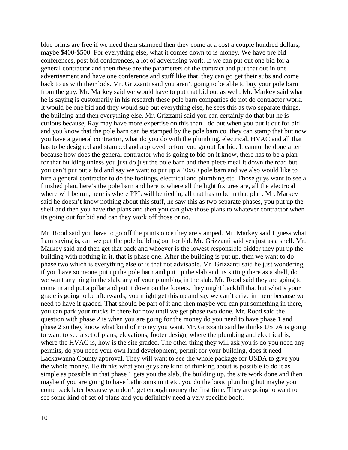blue prints are free if we need them stamped then they come at a cost a couple hundred dollars, maybe \$400-\$500. For everything else, what it comes down to is money. We have pre bid conferences, post bid conferences, a lot of advertising work. If we can put out one bid for a general contractor and then these are the parameters of the contract and put that out in one advertisement and have one conference and stuff like that, they can go get their subs and come back to us with their bids. Mr. Grizzanti said you aren't going to be able to buy your pole barn from the guy. Mr. Markey said we would have to put that bid out as well. Mr. Markey said what he is saying is customarily in his research these pole barn companies do not do contractor work. It would be one bid and they would sub out everything else, he sees this as two separate things, the building and then everything else. Mr. Grizzanti said you can certainly do that but he is curious because, Ray may have more expertise on this than I do but when you put it out for bid and you know that the pole barn can be stamped by the pole barn co. they can stamp that but now you have a general contractor, what do you do with the plumbing, electrical, HVAC and all that has to be designed and stamped and approved before you go out for bid. It cannot be done after because how does the general contractor who is going to bid on it know, there has to be a plan for that building unless you just do just the pole barn and then piece meal it down the road but you can't put out a bid and say we want to put up a 40x60 pole barn and we also would like to hire a general contractor to do the footings, electrical and plumbing etc. Those guys want to see a finished plan, here's the pole barn and here is where all the light fixtures are, all the electrical where will be run, here is where PPL will be tied in, all that has to be in that plan. Mr. Markey said he doesn't know nothing about this stuff, he saw this as two separate phases, you put up the shell and then you have the plans and then you can give those plans to whatever contractor when its going out for bid and can they work off those or no.

Mr. Rood said you have to go off the prints once they are stamped. Mr. Markey said I guess what I am saying is, can we put the pole building out for bid. Mr. Grizzanti said yes just as a shell. Mr. Markey said and then get that back and whoever is the lowest responsible bidder they put up the building with nothing in it, that is phase one. After the building is put up, then we want to do phase two which is everything else or is that not advisable. Mr. Grizzanti said he just wondering, if you have someone put up the pole barn and put up the slab and its sitting there as a shell, do we want anything in the slab, any of your plumbing in the slab. Mr. Rood said they are going to come in and put a pillar and put it down on the footers, they might backfill that but what's your grade is going to be afterwards, you might get this up and say we can't drive in there because we need to have it graded. That should be part of it and then maybe you can put something in there, you can park your trucks in there for now until we get phase two done. Mr. Rood said the question with phase 2 is when you are going for the money do you need to have phase 1 and phase 2 so they know what kind of money you want. Mr. Grizzanti said he thinks USDA is going to want to see a set of plans, elevations, footer design, where the plumbing and electrical is, where the HVAC is, how is the site graded. The other thing they will ask you is do you need any permits, do you need your own land development, permit for your building, does it need Lackawanna County approval. They will want to see the whole package for USDA to give you the whole money. He thinks what you guys are kind of thinking about is possible to do it as simple as possible in that phase 1 gets you the slab, the building up, the site work done and then maybe if you are going to have bathrooms in it etc. you do the basic plumbing but maybe you come back later because you don't get enough money the first time. They are going to want to see some kind of set of plans and you definitely need a very specific book.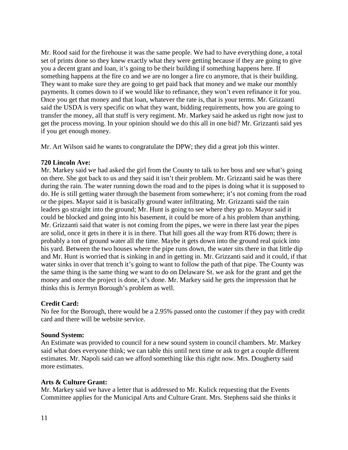Mr. Rood said for the firehouse it was the same people. We had to have everything done, a total set of prints done so they knew exactly what they were getting because if they are going to give you a decent grant and loan, it's going to be their building if something happens here. If something happens at the fire co and we are no longer a fire co anymore, that is their building. They want to make sure they are going to get paid back that money and we make our monthly payments. It comes down to if we would like to refinance, they won't even refinance it for you. Once you get that money and that loan, whatever the rate is, that is your terms. Mr. Grizzanti said the USDA is very specific on what they want, bidding requirements, how you are going to transfer the money, all that stuff is very regiment. Mr. Markey said he asked us right now just to get the process moving. In your opinion should we do this all in one bid? Mr. Grizzanti said yes if you get enough money.

Mr. Art Wilson said he wants to congratulate the DPW; they did a great job this winter.

### **720 Lincoln Ave:**

Mr. Markey said we had asked the girl from the County to talk to her boss and see what's going on there. She got back to us and they said it isn't their problem. Mr. Grizzanti said he was there during the rain. The water running down the road and to the pipes is doing what it is supposed to do. He is still getting water through the basement from somewhere; it's not coming from the road or the pipes. Mayor said it is basically ground water infiltrating. Mr. Grizzanti said the rain leaders go straight into the ground; Mr. Hunt is going to see where they go to. Mayor said it could be blocked and going into his basement, it could be more of a his problem than anything. Mr. Grizzanti said that water is not coming from the pipes, we were in there last year the pipes are solid, once it gets in there it is in there. That hill goes all the way from RT6 down; there is probably a ton of ground water all the time. Maybe it gets down into the ground real quick into his yard. Between the two houses where the pipe runs down, the water sits there in that little dip and Mr. Hunt is worried that is sinking in and in getting in. Mr. Grizzanti said and it could, if that water sinks in over that trench it's going to want to follow the path of that pipe. The County was the same thing is the same thing we want to do on Delaware St. we ask for the grant and get the money and once the project is done, it's done. Mr. Markey said he gets the impression that he thinks this is Jermyn Borough's problem as well.

### **Credit Card:**

No fee for the Borough, there would be a 2.95% passed onto the customer if they pay with credit card and there will be website service.

### **Sound System:**

An Estimate was provided to council for a new sound system in council chambers. Mr. Markey said what does everyone think; we can table this until next time or ask to get a couple different estimates. Mr. Napoli said can we afford something like this right now. Mrs. Dougherty said more estimates.

### **Arts & Culture Grant:**

Mr. Markey said we have a letter that is addressed to Mr. Kulick requesting that the Events Committee applies for the Municipal Arts and Culture Grant. Mrs. Stephens said she thinks it